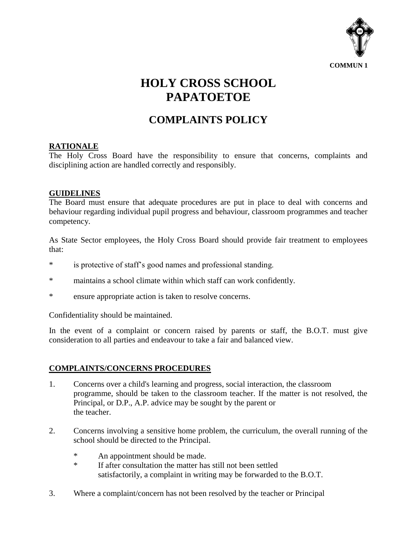

# **HOLY CROSS SCHOOL PAPATOETOE**

# **COMPLAINTS POLICY**

## **RATIONALE**

The Holy Cross Board have the responsibility to ensure that concerns, complaints and disciplining action are handled correctly and responsibly.

### **GUIDELINES**

The Board must ensure that adequate procedures are put in place to deal with concerns and behaviour regarding individual pupil progress and behaviour, classroom programmes and teacher competency.

As State Sector employees, the Holy Cross Board should provide fair treatment to employees that:

- \* is protective of staff's good names and professional standing.
- \* maintains a school climate within which staff can work confidently.
- \* ensure appropriate action is taken to resolve concerns.

Confidentiality should be maintained.

In the event of a complaint or concern raised by parents or staff, the B.O.T. must give consideration to all parties and endeavour to take a fair and balanced view.

### **COMPLAINTS/CONCERNS PROCEDURES**

- 1. Concerns over a child's learning and progress, social interaction, the classroom programme, should be taken to the classroom teacher. If the matter is not resolved, the Principal, or D.P., A.P. advice may be sought by the parent or the teacher.
- 2. Concerns involving a sensitive home problem, the curriculum, the overall running of the school should be directed to the Principal.
	- \* An appointment should be made.<br>Figure the matter has
	- If after consultation the matter has still not been settled satisfactorily, a complaint in writing may be forwarded to the B.O.T.
- 3. Where a complaint/concern has not been resolved by the teacher or Principal